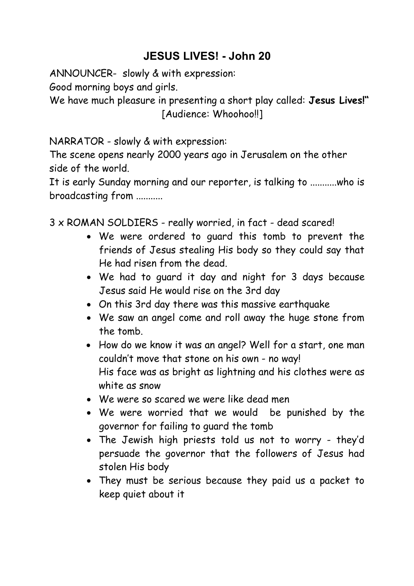## **JESUS LIVES! - John 20**

ANNOUNCER- slowly & with expression:

Good morning boys and girls.

We have much pleasure in presenting a short play called: **Jesus Lives!"** [Audience: Whoohoo!!]

NARRATOR - slowly & with expression:

The scene opens nearly 2000 years ago in Jerusalem on the other side of the world.

It is early Sunday morning and our reporter, is talking to ...........who is broadcasting from ...........

3 x ROMAN SOLDIERS - really worried, in fact - dead scared!

- We were ordered to guard this tomb to prevent the friends of Jesus stealing His body so they could say that He had risen from the dead.
- We had to guard it day and night for 3 days because Jesus said He would rise on the 3rd day
- On this 3rd day there was this massive earthquake
- We saw an angel come and roll away the huge stone from the tomb.
- How do we know it was an angel? Well for a start, one man couldn't move that stone on his own - no way! His face was as bright as lightning and his clothes were as white as snow
- We were so scared we were like dead men
- We were worried that we would be punished by the governor for failing to guard the tomb
- The Jewish high priests told us not to worry they'd persuade the governor that the followers of Jesus had stolen His body
- They must be serious because they paid us a packet to keep quiet about it